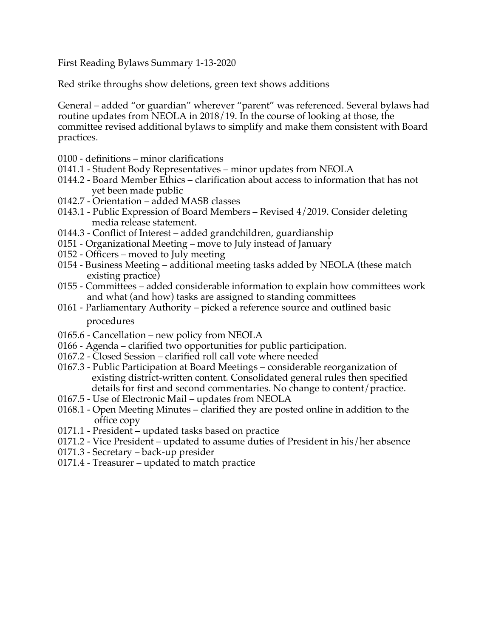First Reading Bylaws Summary 1-13-2020

Red strike throughs show deletions, green text shows additions

General – added "or guardian" wherever "parent" was referenced. Several bylaws had routine updates from NEOLA in 2018/19. In the course of looking at those, the committee revised additional bylaws to simplify and make them consistent with Board practices.

- 0100 definitions minor clarifications
- 0141.1 Student Body Representatives minor updates from NEOLA
- 0144.2 Board Member Ethics clarification about access to information that has not yet been made public
- 0142.7 Orientation added MASB classes
- 0143.1 Public Expression of Board Members Revised 4/2019. Consider deleting media release statement.
- 0144.3 Conflict of Interest added grandchildren, guardianship
- 0151 Organizational Meeting move to July instead of January
- 0152 Officers moved to July meeting
- 0154 Business Meeting additional meeting tasks added by NEOLA (these match existing practice)
- 0155 Committees added considerable information to explain how committees work and what (and how) tasks are assigned to standing committees
- 0161 Parliamentary Authority picked a reference source and outlined basic procedures
- 0165.6 Cancellation new policy from NEOLA
- 0166 Agenda clarified two opportunities for public participation.
- 0167.2 Closed Session clarified roll call vote where needed
- 0167.3 Public Participation at Board Meetings considerable reorganization of existing district-written content. Consolidated general rules then specified details for first and second commentaries. No change to content/practice.
- 0167.5 Use of Electronic Mail updates from NEOLA
- 0168.1 Open Meeting Minutes clarified they are posted online in addition to the office copy
- 0171.1 President updated tasks based on practice
- 0171.2 Vice President updated to assume duties of President in his/her absence
- 0171.3 Secretary back-up presider
- 0171.4 Treasurer updated to match practice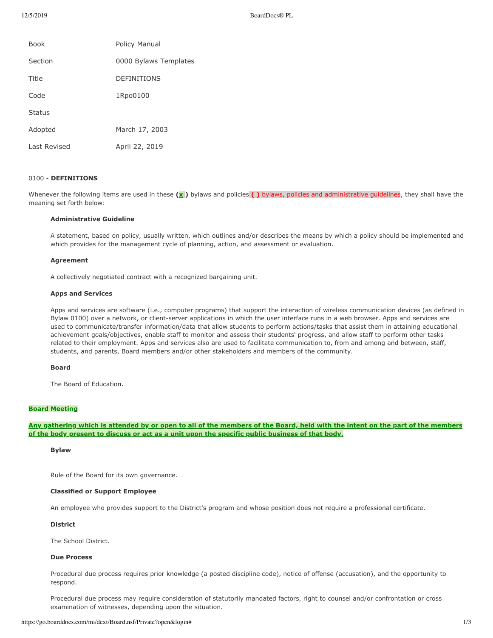| <b>Book</b>   | <b>Policy Manual</b>  |
|---------------|-----------------------|
| Section       | 0000 Bylaws Templates |
| Title         | <b>DEFINITIONS</b>    |
| Code          | 1Rpo0100              |
| <b>Status</b> |                       |
| Adopted       | March 17, 2003        |
| Last Revised  | April 22, 2019        |

## 0100 - **DEFINITIONS**

Whenever the following items are used in these (x<sup>-</sup>) bylaws and policies () bylaws, policies and administrative guidelines, they shall have the meaning set forth below:

## **Administrative Guideline**

A statement, based on policy, usually written, which outlines and/or describes the means by which a policy should be implemented and which provides for the management cycle of planning, action, and assessment or evaluation.

#### **Agreement**

A collectively negotiated contract with a recognized bargaining unit.

### **Apps and Services**

Apps and services are software (i.e., computer programs) that support the interaction of wireless communication devices (as defined in Bylaw 0100) over a network, or client-server applications in which the user interface runs in a web browser. Apps and services are used to communicate/transfer information/data that allow students to perform actions/tasks that assist them in attaining educational achievement goals/objectives, enable staff to monitor and assess their students' progress, and allow staff to perform other tasks related to their employment. Apps and services also are used to facilitate communication to, from and among and between, staff, students, and parents, Board members and/or other stakeholders and members of the community.

#### **Board**

The Board of Education.

## **Board Meeting**

Any gathering which is attended by or open to all of the members of the Board, held with the intent on the part of the members of the body present to discuss or act as a unit upon the specific public business of that body.

## **Bylaw**

Rule of the Board for its own governance.

#### **Classified or Support Employee**

An employee who provides support to the District's program and whose position does not require a professional certificate.

### **District**

The School District.

## **Due Process**

Procedural due process requires prior knowledge (a posted discipline code), notice of offense (accusation), and the opportunity to respond.

Procedural due process may require consideration of statutorily mandated factors, right to counsel and/or confrontation or cross examination of witnesses, depending upon the situation.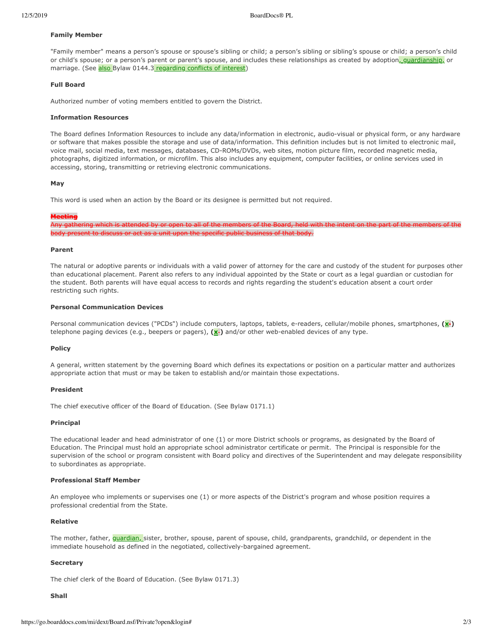### **Family Member**

"Family member" means a person's spouse or spouse's sibling or child; a person's sibling or sibling's spouse or child; a person's child or child's spouse; or a person's parent or parent's spouse, and includes these relationships as created by adoption, quardianship, or marriage. (See also Bylaw 0144.3 regarding conflicts of interest)

### **Full Board**

Authorized number of voting members entitled to govern the District.

#### **Information Resources**

The Board defines Information Resources to include any data/information in electronic, audio-visual or physical form, or any hardware or software that makes possible the storage and use of data/information. This definition includes but is not limited to electronic mail, voice mail, social media, text messages, databases, CD-ROMs/DVDs, web sites, motion picture film, recorded magnetic media, photographs, digitized information, or microfilm. This also includes any equipment, computer facilities, or online services used in accessing, storing, transmitting or retrieving electronic communications.

#### **May**

This word is used when an action by the Board or its designee is permitted but not required.

#### **Meeting**

ich is attended by or open to all of the me discuss or act as a unit upon the specific public business of that body.

#### **Parent**

The natural or adoptive parents or individuals with a valid power of attorney for the care and custody of the student for purposes other than educational placement. Parent also refers to any individual appointed by the State or court as a legal quardian or custodian for the student. Both parents will have equal access to records and rights regarding the student's education absent a court order restricting such rights.

## **Personal Communication Devices**

Personal communication devices ("PCDs") include computers, laptops, tablets, e-readers, cellular/mobile phones, smartphones, (x-) telephone paging devices (e.g., beepers or pagers),  $(\mathbf{x})$  and/or other web-enabled devices of any type.

### **Policy**

A general, written statement by the governing Board which defines its expectations or position on a particular matter and authorizes appropriate action that must or may be taken to establish and/or maintain those expectations.

### **President**

The chief executive officer of the Board of Education. (See Bylaw 0171.1)

#### **Principal**

The educational leader and head administrator of one (1) or more District schools or programs, as designated by the Board of Education. The Principal must hold an appropriate school administrator certificate or permit. The Principal is responsible for the supervision of the school or program consistent with Board policy and directives of the Superintendent and may delegate responsibility to subordinates as appropriate.

#### **Professional Staff Member**

An employee who implements or supervises one (1) or more aspects of the District's program and whose position requires a professional credential from the State.

### **Relative**

The mother, father, *guardian*, sister, brother, spouse, parent of spouse, child, grandparents, grandchild, or dependent in the immediate household as defined in the negotiated, collectively-bargained agreement.

### **Secretary**

The chief clerk of the Board of Education. (See Bylaw 0171.3)

#### **Shall**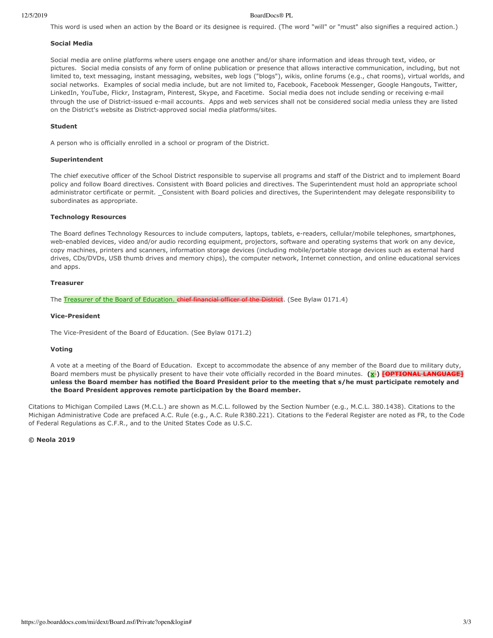This word is used when an action by the Board or its designee is required. (The word "will" or "must" also signifies a required action.)

#### **Social Media**

Social media are online platforms where users engage one another and/or share information and ideas through text, video, or pictures. Social media consists of any form of online publication or presence that allows interactive communication, including, but not limited to, text messaging, instant messaging, websites, web logs ("blogs"), wikis, online forums (e.g., chat rooms), virtual worlds, and social networks. Examples of social media include, but are not limited to, Facebook, Facebook Messenger, Google Hangouts, Twitter, LinkedIn, YouTube, Flickr, Instagram, Pinterest, Skype, and Facetime. Social media does not include sending or receiving e-mail through the use of District-issued e-mail accounts. Apps and web services shall not be considered social media unless they are listed on the District's website as District-approved social media platforms/sites.

### **Student**

A person who is officially enrolled in a school or program of the District.

### **Superintendent**

The chief executive officer of the School District responsible to supervise all programs and staff of the District and to implement Board policy and follow Board directives. Consistent with Board policies and directives. The Superintendent must hold an appropriate school administrator certificate or permit. \_Consistent with Board policies and directives, the Superintendent may delegate responsibility to subordinates as appropriate.

#### **Technology Resources**

The Board defines Technology Resources to include computers, laptops, tablets, e-readers, cellular/mobile telephones, smartphones, web-enabled devices, video and/or audio recording equipment, projectors, software and operating systems that work on any device, copy machines, printers and scanners, information storage devices (including mobile/portable storage devices such as external hard drives, CDs/DVDs, USB thumb drives and memory chips), the computer network, Internet connection, and online educational services and apps.

### **Treasurer**

The Treasurer of the Board of Education. chief financial officer of the District. (See Bylaw 0171.4)

#### **Vice-President**

The Vice-President of the Board of Education. (See Bylaw 0171.2)

### **Voting**

A vote at a meeting of the Board of Education. Except to accommodate the absence of any member of the Board due to military duty, Board members must be physically present to have their vote officially recorded in the Board minutes. (x-) FOPTIONAL LANGUAGE] unless the Board member has notified the Board President prior to the meeting that s/he must participate remotely and the Board President approves remote participation by the Board member.

Citations to Michigan Compiled Laws (M.C.L.) are shown as M.C.L. followed by the Section Number (e.g., M.C.L. 380.1438). Citations to the Michigan Administrative Code are prefaced A.C. Rule (e.g., A.C. Rule R380.221). Citations to the Federal Register are noted as FR, to the Code of Federal Regulations as C.F.R., and to the United States Code as U.S.C.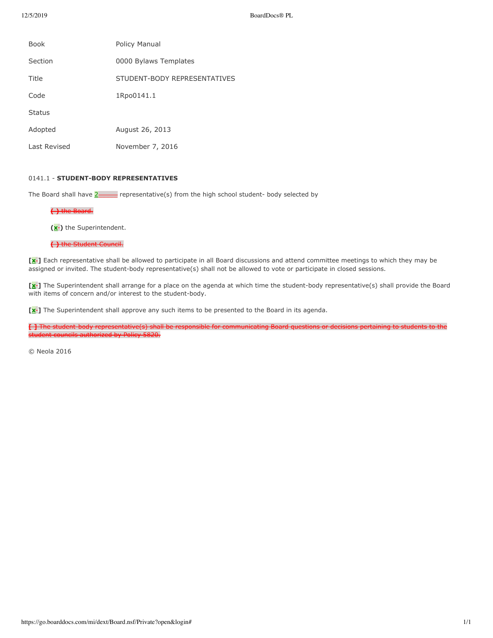| <b>Book</b>   | Policy Manual                |
|---------------|------------------------------|
| Section       | 0000 Bylaws Templates        |
| Title         | STUDENT-BODY REPRESENTATIVES |
| Code          | 1Rpo0141.1                   |
| <b>Status</b> |                              |
| Adopted       | August 26, 2013              |
| Last Revised  | November 7, 2016             |

## 0141.1 - **STUDENT-BODY REPRESENTATIVES**

The Board shall have  $2$  representative(s) from the high school student- body selected by

# **( )** the Board.

**(x-)** the Superintendent.

## ( ) the Student Council.

[x **]** Each representative shall be allowed to participate in all Board discussions and attend committee meetings to which they may be assigned or invited. The student-body representative(s) shall not be allowed to vote or participate in closed sessions.

**[x ]** The Superintendent shall arrange for a place on the agenda at which time the student-body representative(s) shall provide the Board with items of concern and/or interest to the student-body.

[x<sup></sup>] The Superintendent shall approve any such items to be presented to the Board in its agenda.

**[ 1** The student body representative(s) shall be responsible for communicating Board questions or decisions pertaining to students to the student councils authorized by Policy 5820.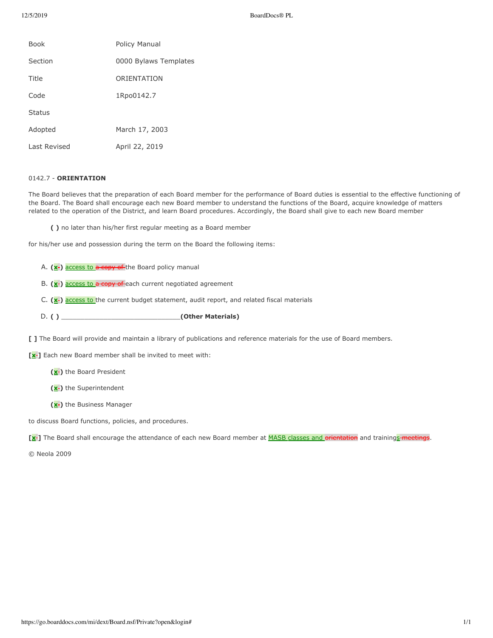| <b>Book</b>   | Policy Manual         |
|---------------|-----------------------|
| Section       | 0000 Bylaws Templates |
| Title         | ORIENTATION           |
| Code          | 1Rpo0142.7            |
| <b>Status</b> |                       |
| Adopted       | March 17, 2003        |
| Last Revised  | April 22, 2019        |

## 0142.7 - **ORIENTATION**

The Board believes that the preparation of each Board member for the performance of Board duties is essential to the effective functioning of the Board. The Board shall encourage each new Board member to understand the functions of the Board, acquire knowledge of matters related to the operation of the District, and learn Board procedures. Accordingly, the Board shall give to each new Board member

**( )** no later than his/her first regular meeting as a Board member

for his/her use and possession during the term on the Board the following items:

- A. (x<sup>-</sup>) access to a copy of the Board policy manual
- B. (x<sup>-</sup>) access to a copy of each current negotiated agreement
- C. (x<sup>-</sup>) access to the current budget statement, audit report, and related fiscal materials
- D. **( )** \_\_\_\_\_\_\_\_\_\_\_\_\_\_\_\_\_\_\_\_\_\_\_\_\_\_\_\_\_\_\_**(Other Materials)**
- **[ ]** The Board will provide and maintain a library of publications and reference materials for the use of Board members.

[x<sup>-</sup>] Each new Board member shall be invited to meet with:

- **(x-)** the Board President
- **(x-)** the Superintendent
- **(x-)** the Business Manager

to discuss Board functions, policies, and procedures.

[x<sup>-</sup>] The Board shall encourage the attendance of each new Board member at **MASB** classes and orientation and trainings-meetings.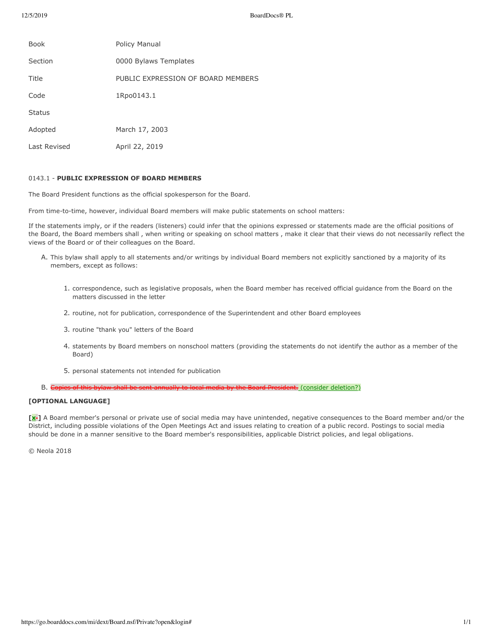| <b>Book</b>   | Policy Manual                      |
|---------------|------------------------------------|
| Section       | 0000 Bylaws Templates              |
| Title         | PUBLIC EXPRESSION OF BOARD MEMBERS |
| Code          | 1Rpo0143.1                         |
| <b>Status</b> |                                    |
| Adopted       | March 17, 2003                     |
| Last Revised  | April 22, 2019                     |

### 0143.1 - PUBLIC EXPRESSION OF BOARD MEMBERS

The Board President functions as the official spokesperson for the Board.

From time-to-time, however, individual Board members will make public statements on school matters:

If the statements imply, or if the readers (listeners) could infer that the opinions expressed or statements made are the official positions of the Board, the Board members shall, when writing or speaking on school matters, make it clear that their views do not necessarily reflect the views of the Board or of their colleagues on the Board.

- A. This bylaw shall apply to all statements and/or writings by individual Board members not explicitly sanctioned by a majority of its members, except as follows:
	- 1. correspondence, such as legislative proposals, when the Board member has received official guidance from the Board on the matters discussed in the letter
	- 2. routine, not for publication, correspondence of the Superintendent and other Board employees
	- 3. routine "thank you" letters of the Board
	- 4. statements by Board members on nonschool matters (providing the statements do not identify the author as a member of the Board)
	- 5. personal statements not intended for publication
- B. Copies of this bylaw shall be sent annually to local media by the Board President. (consider deletion?)

## **[OPTIONAL LANGUAGE]**

**[x'**] A Board member's personal or private use of social media may have unintended, negative consequences to the Board member and/or the District, including possible violations of the Open Meetings Act and issues relating to creation of a public record. Postings to social media should be done in a manner sensitive to the Board member's responsibilities, applicable District policies, and legal obligations.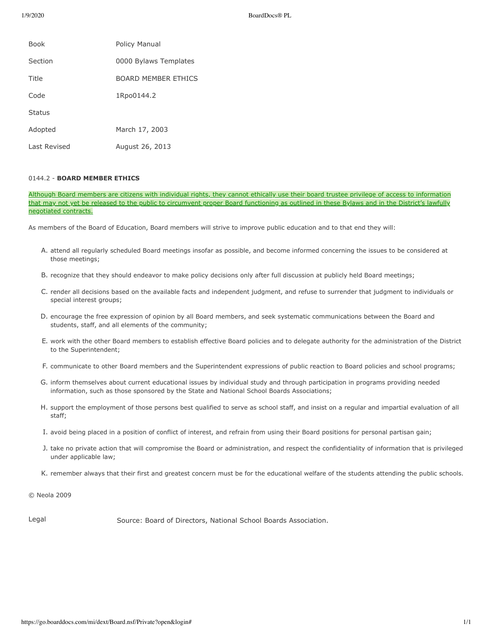1/9/2020 BoardDocs® PL

| <b>Book</b>   | Policy Manual         |
|---------------|-----------------------|
| Section       | 0000 Bylaws Templates |
| Title         | BOARD MEMBER FTHICS   |
| Code          | 1Rpo0144.2            |
| <b>Status</b> |                       |
| Adopted       | March 17, 2003        |
| Last Revised  | August 26, 2013       |

## 0144.2 - **BOARD MEMBER ETHICS**

Although Board members are citizens with individual rights, they cannot ethically use their board trustee privilege of access to information that may not yet be released to the public to circumvent proper Board functioning as outlined in these Bylaws and in the District's lawfully negotiated contracts.

As members of the Board of Education, Board members will strive to improve public education and to that end they will:

- A. attend all regularly scheduled Board meetings insofar as possible, and become informed concerning the issues to be considered at those meetings;
- B. recognize that they should endeavor to make policy decisions only after full discussion at publicly held Board meetings;
- C. render all decisions based on the available facts and independent judgment, and refuse to surrender that judgment to individuals or special interest groups;
- D. encourage the free expression of opinion by all Board members, and seek systematic communications between the Board and students, staff, and all elements of the community;
- E. work with the other Board members to establish effective Board policies and to delegate authority for the administration of the District to the Superintendent;
- F. communicate to other Board members and the Superintendent expressions of public reaction to Board policies and school programs;
- G. inform themselves about current educational issues by individual study and through participation in programs providing needed information, such as those sponsored by the State and National School Boards Associations;
- H. support the employment of those persons best qualified to serve as school staff, and insist on a regular and impartial evaluation of all staff;
- I. avoid being placed in a position of conflict of interest, and refrain from using their Board positions for personal partisan gain;
- J. take no private action that will compromise the Board or administration, and respect the confidentiality of information that is privileged under applicable law;
- K. remember always that their first and greatest concern must be for the educational welfare of the students attending the public schools.

© Neola 2009

Legal Source: Board of Directors, National School Boards Association.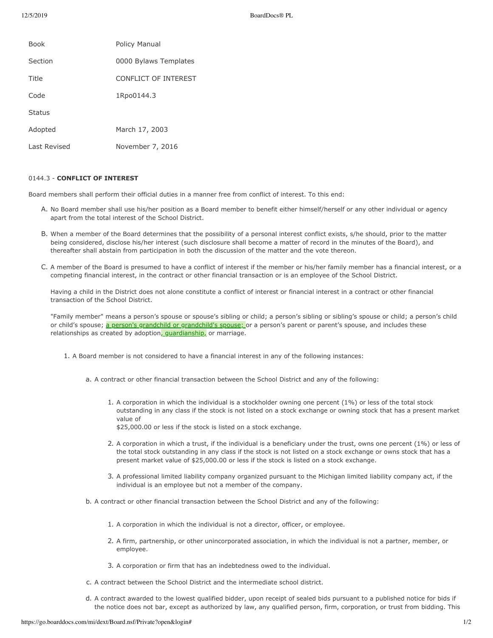| <b>Book</b>   | Policy Manual         |
|---------------|-----------------------|
| Section       | 0000 Bylaws Templates |
| Title         | CONFLICT OF INTEREST  |
| Code          | 1Rpo0144.3            |
| <b>Status</b> |                       |
| Adopted       | March 17, 2003        |
| Last Revised  | November 7, 2016      |

## 0144.3 - **CONFLICT OF INTEREST**

Board members shall perform their official duties in a manner free from conflict of interest. To this end:

- A. No Board member shall use his/her position as a Board member to benefit either himself/herself or any other individual or agency apart from the total interest of the School District.
- B. When a member of the Board determines that the possibility of a personal interest conflict exists, s/he should, prior to the matter being considered, disclose his/her interest (such disclosure shall become a matter of record in the minutes of the Board), and thereafter shall abstain from participation in both the discussion of the matter and the vote thereon.
- C. A member of the Board is presumed to have a conflict of interest if the member or his/her family member has a financial interest, or a competing financial interest, in the contract or other financial transaction or is an employee of the School District.

Having a child in the District does not alone constitute a conflict of interest or financial interest in a contract or other financial transaction of the School District.

"Family member" means a person's spouse or spouse's sibling or child; a person's sibling or sibling's spouse or child; a person's child or child's spouse; a person's grandchild or grandchild's spouse; or a person's parent or parent's spouse, and includes these relationships as created by adoption, *guardianship*, or marriage.

- 1. A Board member is not considered to have a financial interest in any of the following instances:
	- a. A contract or other financial transaction between the School District and any of the following:
		- 1. A corporation in which the individual is a stockholder owning one percent (1%) or less of the total stock outstanding in any class if the stock is not listed on a stock exchange or owning stock that has a present market value of

\$25,000.00 or less if the stock is listed on a stock exchange.

- 2. A corporation in which a trust, if the individual is a beneficiary under the trust, owns one percent (1%) or less of the total stock outstanding in any class if the stock is not listed on a stock exchange or owns stock that has a present market value of \$25,000.00 or less if the stock is listed on a stock exchange.
- 3. A professional limited liability company organized pursuant to the Michigan limited liability company act, if the individual is an employee but not a member of the company.
- b. A contract or other financial transaction between the School District and any of the following:
	- 1. A corporation in which the individual is not a director, officer, or employee.
	- 2. A firm, partnership, or other unincorporated association, in which the individual is not a partner, member, or employee.
	- 3. A corporation or firm that has an indebtedness owed to the individual.
- c. A contract between the School District and the intermediate school district.
- d. A contract awarded to the lowest qualified bidder, upon receipt of sealed bids pursuant to a published notice for bids if the notice does not bar, except as authorized by law, any qualified person, firm, corporation, or trust from bidding. This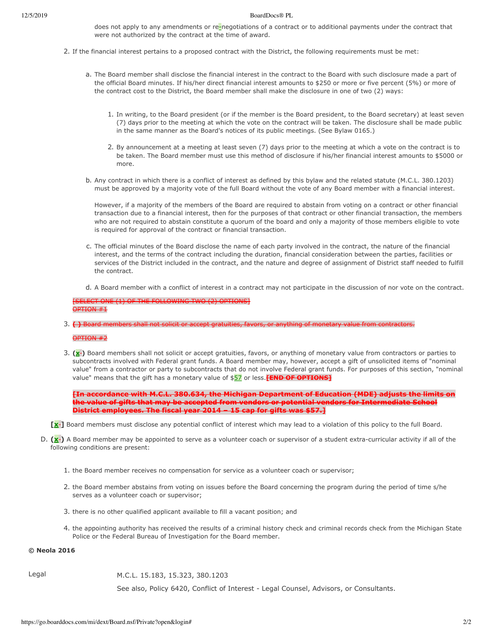does not apply to any amendments or re-negotiations of a contract or to additional payments under the contract that were not authorized by the contract at the time of award.

- 2. If the financial interest pertains to a proposed contract with the District, the following requirements must be met:
	- a. The Board member shall disclose the financial interest in the contract to the Board with such disclosure made a part of the official Board minutes. If his/her direct financial interest amounts to \$250 or more or five percent (5%) or more of the contract cost to the District, the Board member shall make the disclosure in one of two (2) ways:
		- 1. In writing, to the Board president (or if the member is the Board president, to the Board secretary) at least seven (7) days prior to the meeting at which the vote on the contract will be taken. The disclosure shall be made public in the same manner as the Board's notices of its public meetings. (See Bylaw 0165.)
		- 2. By announcement at a meeting at least seven (7) days prior to the meeting at which a vote on the contract is to be taken. The Board member must use this method of disclosure if his/her financial interest amounts to \$5000 or more.
	- b. Any contract in which there is a conflict of interest as defined by this bylaw and the related statute (M.C.L. 380.1203) must be approved by a majority vote of the full Board without the vote of any Board member with a financial interest.

However, if a majority of the members of the Board are required to abstain from voting on a contract or other financial transaction due to a financial interest, then for the purposes of that contract or other financial transaction, the members who are not required to abstain constitute a quorum of the board and only a majority of those members eligible to vote is required for approval of the contract or financial transaction.

- c. The official minutes of the Board disclose the name of each party involved in the contract, the nature of the financial interest, and the terms of the contract including the duration, financial consideration between the parties, facilities or services of the District included in the contract, and the nature and degree of assignment of District staff needed to fulfill the contract
- d. A Board member with a conflict of interest in a contract may not participate in the discussion of nor vote on the contract.

[SELECT ONE (1) OF THE FOLLOWING TWO (2) OPTIONS] OPTION #1

3. **( )** Board members shall not solicit or accept gratuities, favors, or anything of monetary value from contra

OPTION #2

3.  $(x<sub>1</sub>)$  Board members shall not solicit or accept gratuities, favors, or anything of monetary value from contractors or parties to subcontracts involved with Federal grant funds. A Board member may, however, accept a gift of unsolicited items of "nominal value" from a contractor or party to subcontracts that do not involve Federal grant funds. For purposes of this section, "nominal value" means that the gift has a monetary value of \$57 or less. **[END OF OPTIONS]** 

**[In accordance with M.C.L. 380.634, the Michigan Department of Education (MDE) adjusts the limits on** the value of gifts that may be accepted from vendors or potential vendors for Intermediate School **District employees. The fiscal year 2014 – 15 cap for gifts was \$57.1** 

- [x **]** Board members must disclose any potential conflict of interest which may lead to a violation of this policy to the full Board.
- D. (x<sup>-</sup>) A Board member may be appointed to serve as a volunteer coach or supervisor of a student extra-curricular activity if all of the following conditions are present:
	- 1. the Board member receives no compensation for service as a volunteer coach or supervisor;
	- 2. the Board member abstains from voting on issues before the Board concerning the program during the period of time s/he serves as a volunteer coach or supervisor;
	- 3. there is no other qualified applicant available to fill a vacant position; and
	- 4. the appointing authority has received the results of a criminal history check and criminal records check from the Michigan State Police or the Federal Bureau of Investigation for the Board member.

## **© Neola 2016**

Legal M.C.L. 15.183, 15.323, 380.1203

See also, Policy 6420, Conflict of Interest - Legal Counsel, Advisors, or Consultants.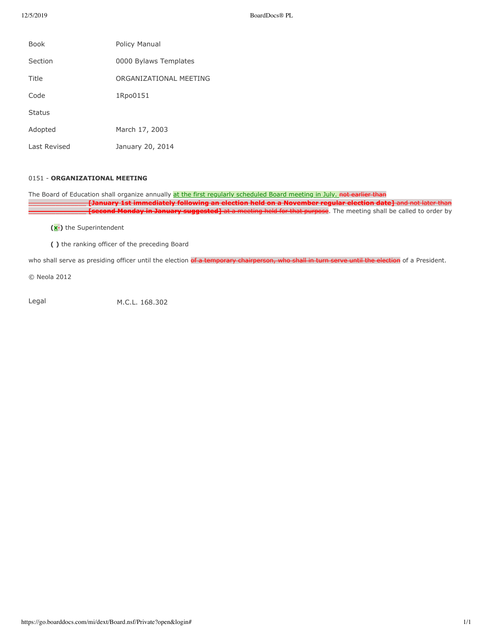| <b>Book</b>  | Policy Manual          |
|--------------|------------------------|
| Section      | 0000 Bylaws Templates  |
| Title        | ORGANIZATIONAL MEETING |
| Code         | 1Rpo0151               |
| Status       |                        |
| Adopted      | March 17, 2003         |
| Last Revised | January 20, 2014       |

## 0151 - ORGANIZATIONAL MEETING

The Board of Education shall organize annually at the first regularly scheduled Board meeting in July. not earlier than \_\_\_\_\_\_\_\_\_\_\_\_\_\_\_ **[January 1st immediately following an election held on a November regular election date]** and not later than **[second Monday in January suggested]** at a meeting held for that purpose. The meeting shall be called to order by

**(x-)** the Superintendent

( ) the ranking officer of the preceding Board

who shall serve as presiding officer until the election of a temporary chairperson, who shall in turn serve until the election of a President.

© Neola 2012

Legal M.C.L. 168.302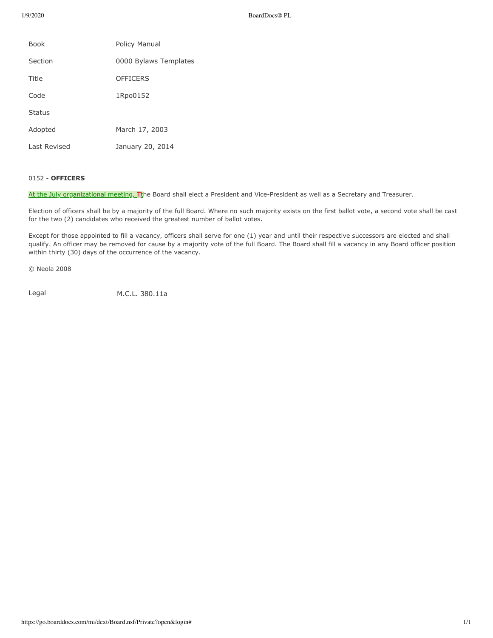1/9/2020 BoardDocs® PL

| <b>Book</b>   | Policy Manual         |
|---------------|-----------------------|
| Section       | 0000 Bylaws Templates |
| Title         | <b>OFFICERS</b>       |
| Code          | 1Rpo0152              |
| <b>Status</b> |                       |
| Adopted       | March 17, 2003        |
| Last Revised  | January 20, 2014      |

## 0152 - **OFFICERS**

At the July organizational meeting, Fthe Board shall elect a President and Vice-President as well as a Secretary and Treasurer.

Election of officers shall be by a majority of the full Board. Where no such majority exists on the first ballot vote, a second vote shall be cast for the two (2) candidates who received the greatest number of ballot votes.

Except for those appointed to fill a vacancy, officers shall serve for one (1) year and until their respective successors are elected and shall qualify. An officer may be removed for cause by a majority vote of the full Board. The Board shall fill a vacancy in any Board officer position within thirty (30) days of the occurrence of the vacancy.

© Neola 2008

Legal M.C.L. 380.11a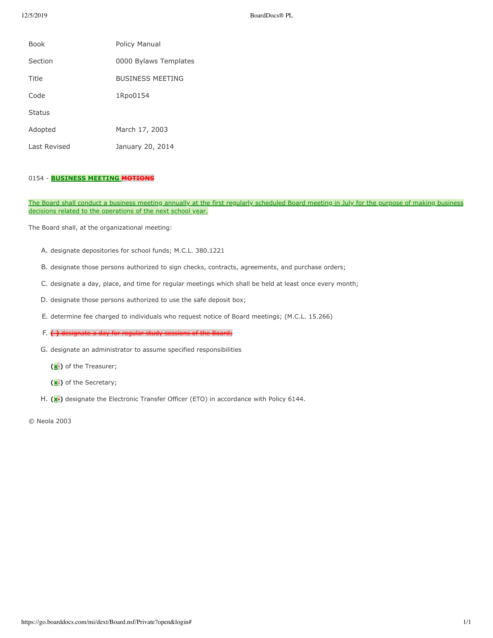| <b>Book</b>   | Policy Manual           |
|---------------|-------------------------|
| Section       | 0000 Bylaws Templates   |
| Title         | <b>BUSINESS MEETING</b> |
| Code          | 1Rpo0154                |
| <b>Status</b> |                         |
| Adopted       | March 17, 2003          |
| Last Revised  | January 20, 2014        |

# 0154 - **BUSINESS MEETING MOTIONS**

The Board shall conduct a business meeting annually at the first regularly scheduled Board meeting in July for the purpose of making business decisions related to the operations of the next school year.

The Board shall, at the organizational meeting:

- A. designate depositories for school funds; M.C.L. 380.1221
- B. designate those persons authorized to sign checks, contracts, agreements, and purchase orders;
- C. designate a day, place, and time for regular meetings which shall be held at least once every month;
- D. designate those persons authorized to use the safe deposit box;
- E. determine fee charged to individuals who request notice of Board meetings; (M.C.L. 15.266)
- F.  $\left\{\cdot\right\}$  designate a day for regular study sessions of the Board;
- G. designate an administrator to assume specified responsibilities
	- **(x-)** of the Treasurer;
	- **(x-)** of the Secretary;
- H. (x<sup>-</sup>) designate the Electronic Transfer Officer (ETO) in accordance with Policy 6144.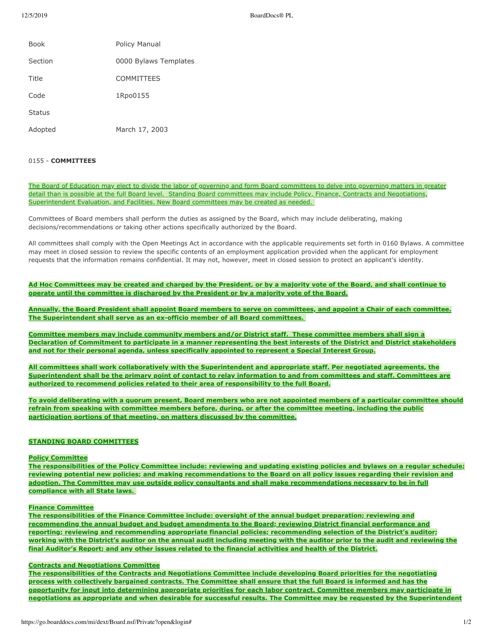| <b>Book</b>   | Policy Manual         |
|---------------|-----------------------|
| Section       | 0000 Bylaws Templates |
| Title         | <b>COMMITTEES</b>     |
| Code          | 1Rpo0155              |
| <b>Status</b> |                       |
| Adopted       | March 17, 2003        |

## 0155 - **COMMITTEES**

The Board of Education may elect to divide the labor of governing and form Board committees to delve into governing matters in greater detail than is possible at the full Board level. Standing Board committees may include Policy, Finance, Contracts and Negotiations, Superintendent Evaluation, and Facilities. New Board committees may be created as needed.

Committees of Board members shall perform the duties as assigned by the Board, which may include deliberating, making decisions/recommendations or taking other actions specifically authorized by the Board.

All committees shall comply with the Open Meetings Act in accordance with the applicable requirements set forth in 0160 Bylaws. A committee may meet in closed session to review the specific contents of an employment application provided when the applicant for employment requests that the information remains confidential. It may not, however, meet in closed session to protect an applicant's identity.

Ad Hoc Committees may be created and charged by the President, or by a majority vote of the Board, and shall continue to **operate until the committee is discharged by the President or by a majority vote of the Board.** 

Annually, the Board President shall appoint Board members to serve on committees, and appoint a Chair of each committee. **The Superintendent shall serve as an ex-officio member of all Board committees.** 

Committee members may include community members and/or District staff. These committee members shall sign a **Declaration of Commitment to participate in a manner representing the best interests of the District and District stakeholders** and not for their personal agenda, unless specifically appointed to represent a Special Interest Group.

All committees shall work collaboratively with the Superintendent and appropriate staff. Per negotiated agreements, the Superintendent shall be the primary point of contact to relay information to and from committees and staff. Committees are authorized to recommend policies related to their area of responsibility to the full Board.

To avoid deliberating with a quorum present, Board members who are not appointed members of a particular committee should refrain from speaking with committee members before, during, or after the committee meeting, including the public participation portions of that meeting, on matters discussed by the committee.

## **STANDING BOARD COMMITTEES**

#### **Policy Committee**

The responsibilities of the Policy Committee include: reviewing and updating existing policies and bylaws on a regular schedule; reviewing potential new policies; and making recommendations to the Board on all policy issues regarding their revision and adoption. The Committee may use outside policy consultants and shall make recommendations necessary to be in full compliance with all State laws.

### **Finance Committee**

The responsibilities of the Finance Committee include: oversight of the annual budget preparation; reviewing and recommending the annual budget and budget amendments to the Board; reviewing District financial performance and reporting; reviewing and recommending appropriate financial policies; recommending selection of the District's auditor; working with the District's auditor on the annual audit including meeting with the auditor prior to the audit and reviewing the final Auditor's Report; and any other issues related to the financial activities and health of the District.

### **Contracts and Negotiations Committee**

The responsibilities of the Contracts and Negotiations Committee include developing Board priorities for the negotiating process with collectively bargained contracts. The Committee shall ensure that the full Board is informed and has the **opportunity for input into determining appropriate priorities for each labor contract. Committee members may participate in** negotiations as appropriate and when desirable for successful results. The Committee may be requested by the Superintendent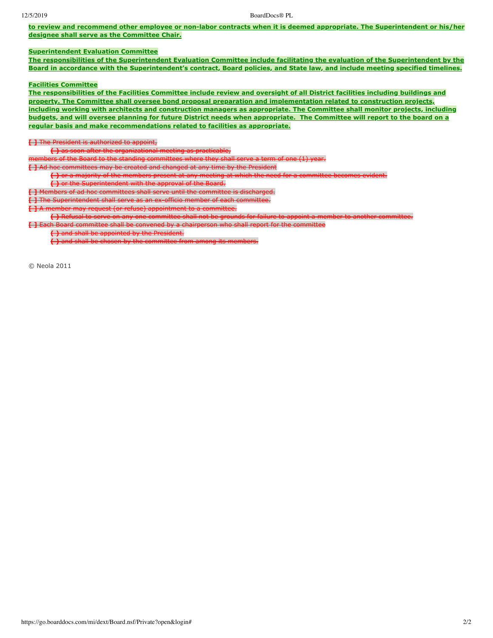to review and recommend other employee or non-labor contracts when it is deemed appropriate. The Superintendent or his/her **designee shall serve as the Committee Chair.**

# **Superintendent Evaluation Committee**

The responsibilities of the Superintendent Evaluation Committee include facilitating the evaluation of the Superintendent by the Board in accordance with the Superintendent's contract, Board policies, and State law, and include meeting specified timelines.

#### **Facilities Committee**

The responsibilities of the Facilities Committee include review and oversight of all District facilities including buildings and property. The Committee shall oversee bond proposal preparation and implementation related to construction projects, including working with architects and construction managers as appropriate. The Committee shall monitor projects, including **budgets, and will oversee planning for future District needs when appropriate. The Committee will report to the board on a regular basis and make recommendations related to facilities as appropriate.** 

## **[ ]** The President is authorized to appoint,

**( )** as soon after the organizational meeting as practicable,

members of the Board to the standing committees where they shall serve a term of one (1) year.<br>L.J. Ad hoc committees may be created and changed at any time by the President

**I** admittees may be created and changed at any time by the President

( ) or a majority of the members present at any meeting at which the need for a committee becomes evident.

**( )** or the Superintendent with the approval of the Board.

**[ ]** Members of ad hoc committees shall serve until the committe

**[ ]** The Superintendent shall serve as an ex-officio member of each committee.

**[ ]** A member may request (or refuse) appointment to a committee.

( ) Refusal to serve on any one committee shall not be grounds for failure to appoint a member to another committee.

**[ ]** Each Board committee shall be convened by a chairperson who shall report for the committee

**( )** and shall be appointed by the President.

**( )** and shall be chosen by the committee from among its members.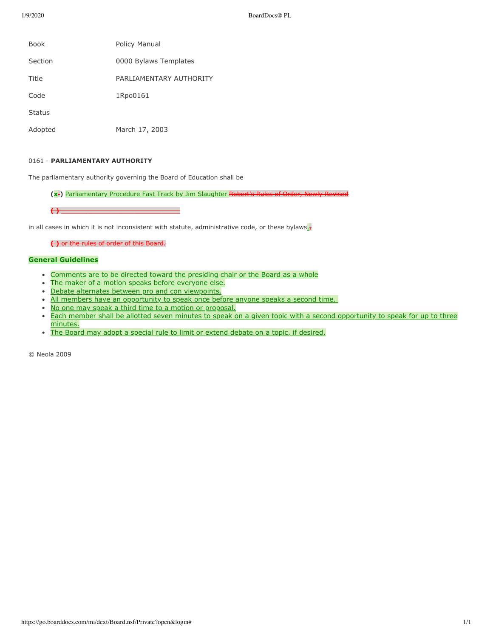1/9/2020 BoardDocs® PL

| <b>Book</b>   | Policy Manual            |
|---------------|--------------------------|
| Section       | 0000 Bylaws Templates    |
| Title         | PARI JAMENTARY AUTHORITY |
| Code          | 1Rpo0161                 |
| <b>Status</b> |                          |
| Adopted       | March 17, 2003           |

## 0161 - **PARLIAMENTARY AUTHORITY**

The parliamentary authority governing the Board of Education shall be

(x<sup>-</sup>) Parliamentary Procedure Fast Track by Jim Slaughter Robert's Rules of Order, Newly Revis

 $\overline{(\cdot)}$ 

in all cases in which it is not inconsistent with statute, administrative code, or these bylaws $\frac{1}{x}$ 

**( )** or the rules of order of this Board.

### **General Guidelines**

- Comments are to be directed toward the presiding chair or the Board as a whole  $\bullet$
- $\bullet$ The maker of a motion speaks before everyone else.
- Debate alternates between pro and con viewpoints.
- . All members have an opportunity to speak once before anyone speaks a second time.
- No one may speak a third time to a motion or proposal.
- Each member shall be allotted seven minutes to speak on a given topic with a second opportunity to speak for up to three  $\bullet$ minutes.
- The Board may adopt a special rule to limit or extend debate on a topic, if desired.  $\bullet$

© Neola 2009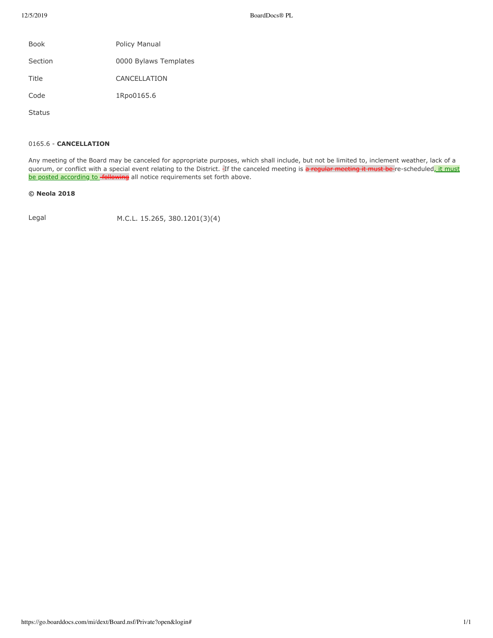| Book    | Policy Manual         |
|---------|-----------------------|
| Section | 0000 Bylaws Templates |
| Title   | CANCELLATION          |
| Code    | 1Rpo0165.6            |
|         |                       |

Status

## 0165.6 - **CANCELLATION**

Any meeting of the Board may be canceled for appropriate purposes, which shall include, but not be limited to, inclement weather, lack of a quorum, or conflict with a special event relating to the District. If the canceled meeting is a regular meeting it must be re-scheduled, it must be posted according to -following all notice requirements set forth above.

## **© Neola 2018**

Legal M.C.L. 15.265, 380.1201(3)(4)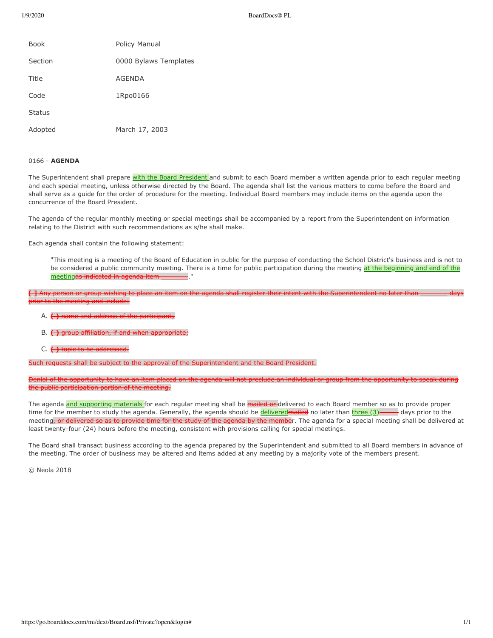1/9/2020 BoardDocs® PL

| <b>Book</b>   | Policy Manual         |
|---------------|-----------------------|
| Section       | 0000 Bylaws Templates |
| Title         | <b>AGENDA</b>         |
| Code          | 1Rpo0166              |
| <b>Status</b> |                       |
| Adopted       | March 17, 2003        |

## 0166 - **AGENDA**

The Superintendent shall prepare with the Board President and submit to each Board member a written agenda prior to each regular meeting and each special meeting, unless otherwise directed by the Board. The agenda shall list the various matters to come before the Board and shall serve as a guide for the order of procedure for the meeting. Individual Board members may include items on the agenda upon the concurrence of the Board President.

The agenda of the regular monthly meeting or special meetings shall be accompanied by a report from the Superintendent on information relating to the District with such recommendations as s/he shall make.

Each agenda shall contain the following statement:

"This meeting is a meeting of the Board of Education in public for the purpose of conducting the School District's business and is not to be considered a public community meeting. There is a time for public participation during the meeting at the beginning and end of the meetingas indicated in agenda ite

 $\left\{ \ \right\}$  Any person or group wi  $\rho$  to the meeting and include:

- A. **( )** name and address of the participant;
- B. **( )** group affiliation, if and when appropriate
- C.  $\leftrightarrow$  topic to be addressed.

shall be subject to the approval of the Sup

Denial of the opportunity to have an item placed on the agenda will not preclude an individual or group from the opportunity to speak during the public participation portion of the meeting.

The agenda and supporting materials for each regular meeting shall be mailed or delivered to each Board member so as to provide proper time for the member to study the agenda. Generally, the agenda should be *delivered* mailed no later than  $\frac{t^2 - 1}{2}$  days prior to the meeting<del>, or delivered so as to provide time for the study of the agenda by the membe</del>r. The agenda for a special meeting shall be delivered at least twenty-four (24) hours before the meeting, consistent with provisions calling for special meetings.

The Board shall transact business according to the agenda prepared by the Superintendent and submitted to all Board members in advance of the meeting. The order of business may be altered and items added at any meeting by a majority vote of the members present.

© Neola 2018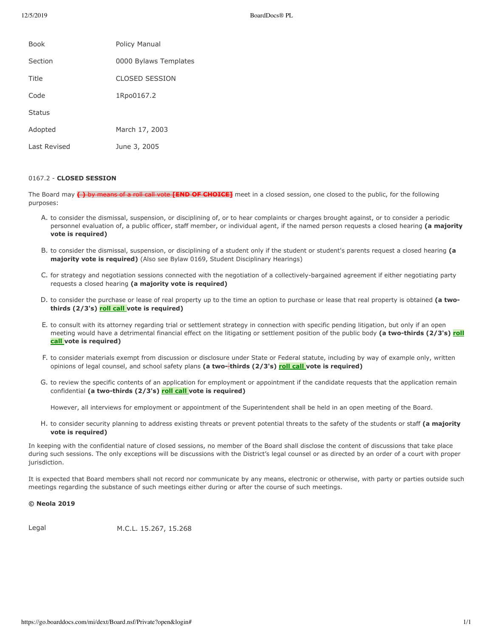| <b>Book</b>  | Policy Manual         |
|--------------|-----------------------|
| Section      | 0000 Bylaws Templates |
| Title        | <b>CLOSED SESSION</b> |
| Code         | 1Rpo0167.2            |
| Status       |                       |
| Adopted      | March 17, 2003        |
| Last Revised | June 3, 2005          |

### 0167.2 - **CLOSED SESSION**

The Board may  $\longleftrightarrow$  by means of a roll call vote **[END OF CHOICE]** meet in a closed session, one closed to the public, for the following purposes:

- A. to consider the dismissal, suspension, or disciplining of, or to hear complaints or charges brought against, or to consider a periodic personnel evaluation of, a public officer, staff member, or individual agent, if the named person requests a closed hearing (a majority **vote is required)**
- B. to consider the dismissal, suspension, or disciplining of a student only if the student or student's parents request a closed hearing (a **majority vote is required)** (Also see Bylaw 0169, Student Disciplinary Hearings)
- C. for strategy and negotiation sessions connected with the negotiation of a collectively-bargained agreement if either negotiating party requests a closed hearing (a majority vote is required)
- D. to consider the purchase or lease of real property up to the time an option to purchase or lease that real property is obtained (a twothirds (2/3's) roll call vote is required)
- E. to consult with its attorney regarding trial or settlement strategy in connection with specific pending litigation, but only if an open meeting would have a detrimental financial effect on the litigating or settlement position of the public body (a two-thirds (2/3's) roll **call** vote is required)
- F. to consider materials exempt from discussion or disclosure under State or Federal statute, including by way of example only, written opinions of legal counsel, and school safety plans (a two-thirds (2/3's) roll call vote is required)
- G. to review the specific contents of an application for employment or appointment if the candidate requests that the application remain confidential (a two-thirds (2/3's) roll call vote is required)

However, all interviews for employment or appointment of the Superintendent shall be held in an open meeting of the Board.

H. to consider security planning to address existing threats or prevent potential threats to the safety of the students or staff (a majority **vote is required)** 

In keeping with the confidential nature of closed sessions, no member of the Board shall disclose the content of discussions that take place during such sessions. The only exceptions will be discussions with the District's legal counsel or as directed by an order of a court with proper jurisdiction.

It is expected that Board members shall not record nor communicate by any means, electronic or otherwise, with party or parties outside such meetings regarding the substance of such meetings either during or after the course of such meetings.

## **© Neola 2019**

Legal M.C.L. 15.267, 15.268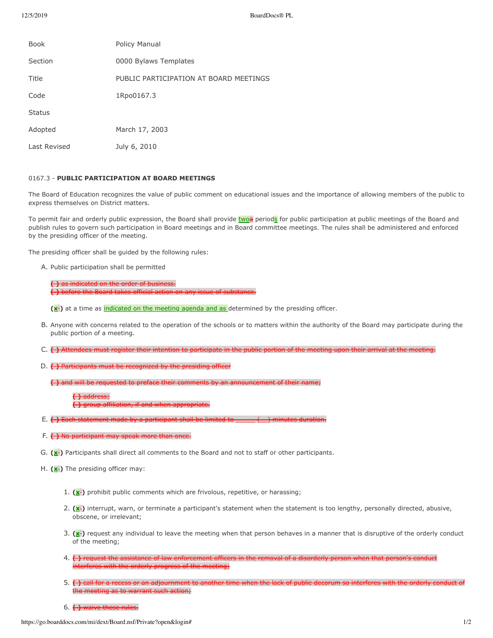| <b>Book</b>   | Policy Manual                          |
|---------------|----------------------------------------|
| Section       | 0000 Bylaws Templates                  |
| Title         | PUBLIC PARTICIPATION AT BOARD MEETINGS |
| Code          | 1Rpo0167.3                             |
| <b>Status</b> |                                        |
| Adopted       | March 17, 2003                         |
| Last Revised  | July 6, 2010                           |

## 0167.3 - PUBLIC PARTICIPATION AT BOARD MEETINGS

The Board of Education recognizes the value of public comment on educational issues and the importance of allowing members of the public to express themselves on District matters.

To permit fair and orderly public expression, the Board shall provide twoa periods for public participation at public meetings of the Board and publish rules to govern such participation in Board meetings and in Board committee meetings. The rules shall be administered and enforced by the presiding officer of the meeting.

The presiding officer shall be guided by the following rules:

A. Public participation shall be permitted

**( )** as indicated on the order of business **( )** before the Board takes official action

**(x-)** at a time as indicated on the meeting agenda and as determined by the presiding officer.

- B. Anyone with concerns related to the operation of the schools or to matters within the authority of the Board may participate during the public portion of a meeting.
- C. **()** Attendees must register their intention to participate in the public portion of the meeting upon their arrival at the meeting.
- D. ( ) Participants must be recognized by the presiding office

( ) and will be requested

**( )** address;

 $if$  and whan

- E. **( )** Each statement made by a participant shall be limit
- F. ( ) No participant may speak more than once.
- G. (**x**<sup>2</sup>) Participants shall direct all comments to the Board and not to staff or other participants.
- H. (x<sup>-</sup>) The presiding officer may:
	- 1.  $(\mathbf{x}$  prohibit public comments which are frivolous, repetitive, or harassing;
	- 2.  $(x<sub>1</sub>)$  interrupt, warn, or terminate a participant's statement when the statement is too lengthy, personally directed, abusive, obscene, or irrelevant;
	- 3.  $(x<sub>r</sub>)$  request any individual to leave the meeting when that person behaves in a manner that is disruptive of the orderly conduct of the meeting;
	- 4. () request the assistance of law enforcement officers in the removal of a disorderly person when that person's conduct interferes with the orderly progress of the meeting;
	- 5. **( )** call for a recess or an adjournment to another time when the lack of public decorum so interferes with the orderly conduct of the meeting as to warrant such action;
	- 6.  $\leftrightarrow$  waive these rules.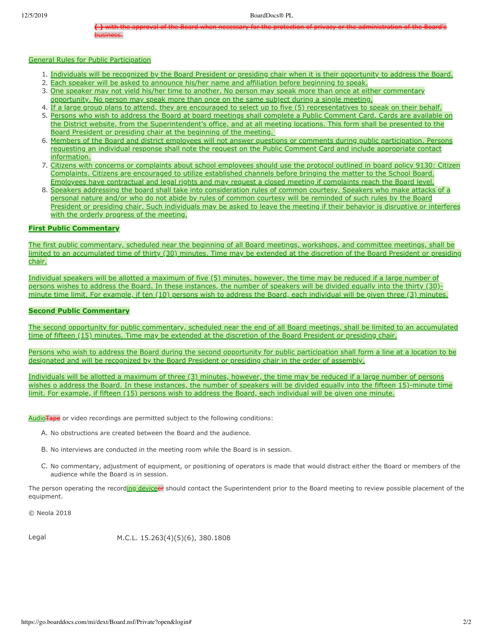**()** with the approval of the Board when necessary for the protection of privacy or the administration of the Board's business.

## General Rules for Public Participation

- 1. Individuals will be recognized by the Board President or presiding chair when it is their opportunity to address the Board.
- 2. Each speaker will be asked to announce his/her name and affiliation before beginning to speak.
- 3. One speaker may not yield his/her time to another. No person may speak more than once at either commentary opportunity. No person may speak more than once on the same subject during a single meeting.
- 4. If a large group plans to attend, they are encouraged to select up to five (5) representatives to speak on their behalf.
- 5. Persons who wish to address the Board at board meetings shall complete a Public Comment Card. Cards are available on the District website, from the Superintendent's office, and at all meeting locations. This form shall be presented to the Board President or presiding chair at the beginning of the meeting.
- 6. Members of the Board and district employees will not answer questions or comments during public participation. Persons requesting an individual response shall note the request on the Public Comment Card and include appropriate contact information.
- 7. Citizens with concerns or complaints about school employees should use the protocol outlined in board policy 9130: Citizen Complaints. Citizens are encouraged to utilize established channels before bringing the matter to the School Board. Employees have contractual and legal rights and may request a closed meeting if complaints reach the Board level.
- 8. Speakers addressing the board shall take into consideration rules of common courtesy. Speakers who make attacks of a personal nature and/or who do not abide by rules of common courtesy will be reminded of such rules by the Board President or presiding chair. Such individuals may be asked to leave the meeting if their behavior is disruptive or interferes with the orderly progress of the meeting.

## **First Public Commentary**

The first public commentary, scheduled near the beginning of all Board meetings, workshops, and committee meetings, shall be limited to an accumulated time of thirty (30) minutes. Time may be extended at the discretion of the Board President or presiding chair.

Individual speakers will be allotted a maximum of five (5) minutes, however, the time may be reduced if a large number of persons wishes to address the Board. In these instances, the number of speakers will be divided equally into the thirty (30)minute time limit. For example, if ten  $(10)$  persons wish to address the Board, each individual will be given three  $(3)$  minutes.

### **Second Public Commentary**

The second opportunity for public commentary, scheduled near the end of all Board meetings, shall be limited to an accumulated time of fifteen (15) minutes. Time may be extended at the discretion of the Board President or presiding chair.

Persons who wish to address the Board during the second opportunity for public participation shall form a line at a location to be designated and will be recognized by the Board President or presiding chair in the order of assembly.

Individuals will be allotted a maximum of three (3) minutes, however, the time may be reduced if a large number of persons wishes o address the Board. In these instances, the number of speakers will be divided equally into the fifteen 15)-minute time limit. For example, if fifteen (15) persons wish to address the Board, each individual will be given one minute.

AudioTape or video recordings are permitted subject to the following conditions:

- A. No obstructions are created between the Board and the audience.
- B. No interviews are conducted in the meeting room while the Board is in session.
- C. No commentary, adjustment of equipment, or positioning of operators is made that would distract either the Board or members of the audience while the Board is in session.

The person operating the recording deviceer should contact the Superintendent prior to the Board meeting to review possible placement of the equipment.

© Neola 2018

Legal M.C.L. 15.263(4)(5)(6), 380.1808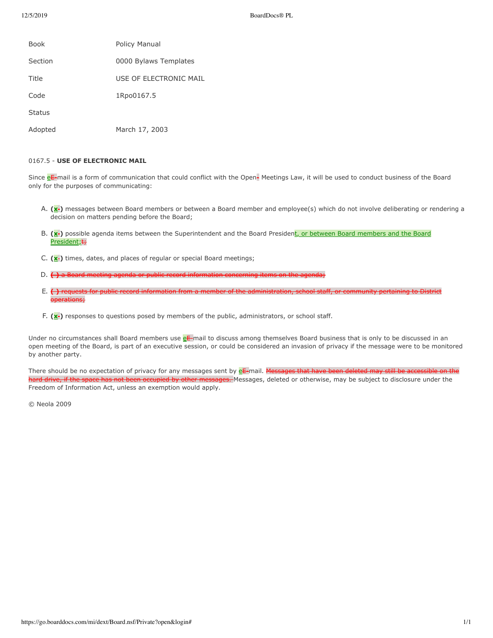| <b>Book</b>   | Policy Manual          |
|---------------|------------------------|
| Section       | 0000 Bylaws Templates  |
| Title         | USE OF ELECTRONIC MAIL |
| Code          | 1Rpo0167.5             |
| <b>Status</b> |                        |
| Adopted       | March 17, 2003         |

## 0167.5 - USE OF ELECTRONIC MAIL

Since  $e^{\frac{E}{k}}$  mail is a form of communication that could conflict with the Open- Meetings Law, it will be used to conduct business of the Board only for the purposes of communicating:

- A. (x-) messages between Board members or between a Board member and employee(s) which do not involve deliberating or rendering a decision on matters pending before the Board;
- B. (x-) possible agenda items between the Superintendent and the Board President, or between Board members and the Board President; +
- C. (x<sup>-</sup>)</sub> times, dates, and places of regular or special Board meetings;
- D.  $\left(\cdot\right)$  a Board meeting agenda or public record information concerning items on the agen
- E. () requests for public record information from a member of the administration, school staff, or community pertaining to District operations;
- F.  $(x<sub>1</sub>)$  responses to questions posed by members of the public, administrators, or school staff.

Under no circumstances shall Board members use eE-mail to discuss among themselves Board business that is only to be discussed in an open meeting of the Board, is part of an executive session, or could be considered an invasion of privacy if the message were to be monitored by another party.

There should be no expectation of privacy for any messages sent by eE-mail. Messages that have been deleted may still be accessible on the hard drive, if the space has not been occupied by other messages. Messages, deleted or otherwise, may be subject to disclosure under the Freedom of Information Act, unless an exemption would apply.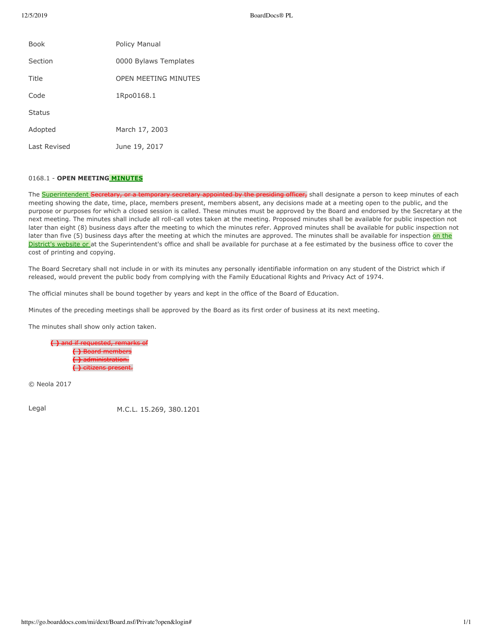| <b>Book</b>   | <b>Policy Manual</b>        |
|---------------|-----------------------------|
| Section       | 0000 Bylaws Templates       |
| Title         | <b>OPEN MEETING MINUTES</b> |
| Code          | 1Rpo0168.1                  |
| <b>Status</b> |                             |
| Adopted       | March 17, 2003              |
| Last Revised  | June 19, 2017               |

# 0168.1 - OPEN MEETING **MINUTES**

The **Superintendent Secretary, or a temporary secretary appointed by the presiding officer,** shall designate a person to keep minutes of each meeting showing the date, time, place, members present, members absent, any decisions made at a meeting open to the public, and the purpose or purposes for which a closed session is called. These minutes must be approved by the Board and endorsed by the Secretary at the next meeting. The minutes shall include all roll-call votes taken at the meeting. Proposed minutes shall be available for public inspection not later than eight (8) business days after the meeting to which the minutes refer. Approved minutes shall be available for public inspection not later than five (5) business days after the meeting at which the minutes are approved. The minutes shall be available for inspection on the District's website or at the Superintendent's office and shall be available for purchase at a fee estimated by the business office to cover the cost of printing and copying.

The Board Secretary shall not include in or with its minutes any personally identifiable information on any student of the District which if released, would prevent the public body from complying with the Family Educational Rights and Privacy Act of 1974.

The official minutes shall be bound together by years and kept in the office of the Board of Education.

Minutes of the preceding meetings shall be approved by the Board as its first order of business at its next meeting.

The minutes shall show only action taken.

**( )** and if requested, remarks of **( )** Board members **( )** administration. **( )** citizens present.

© Neola 2017

Legal M.C.L. 15.269, 380.1201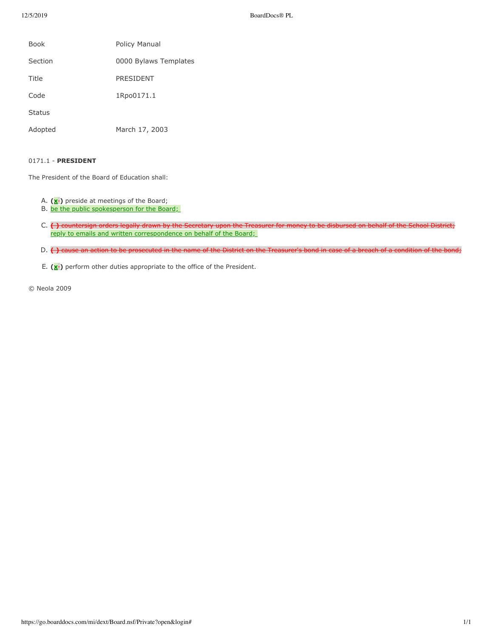| <b>Book</b>   | Policy Manual         |
|---------------|-----------------------|
| Section       | 0000 Bylaws Templates |
| Title         | PRESIDENT             |
| Code          | 1Rpo0171.1            |
| <b>Status</b> |                       |
| Adopted       | March 17, 2003        |

## 0171.1 - **PRESIDENT**

The President of the Board of Education shall:

- A. (x<sup>-</sup>) preside at meetings of the Board;
- B. be the public spokesperson for the Board;
- C. <del>() countersign orders legally drawn by the Secretary upon the Treasurer for money to be disbursed on behalf of the School District;</del> reply to emails and written correspondence on behalf of the Board;
- D. () cause an action to be prosecuted in the name of the District on the Treasurer's bond in case of a breach of a condition of the bond;
- E.  $(\underline{x}$ -) perform other duties appropriate to the office of the President.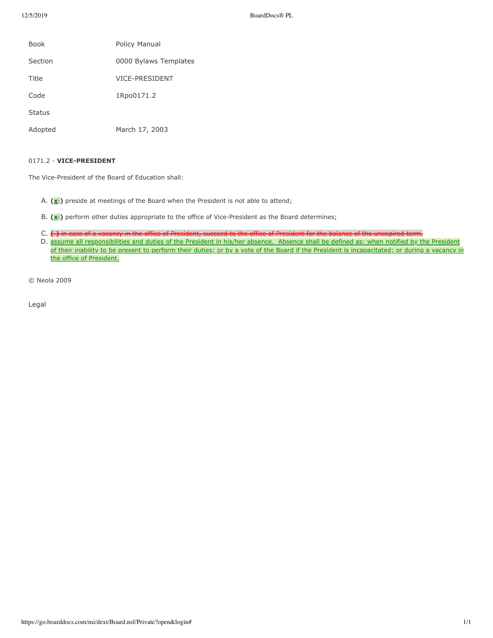| Book          | <b>Policy Manual</b>  |
|---------------|-----------------------|
|               |                       |
| Section       | 0000 Bylaws Templates |
| Title         | <b>VICE-PRESIDENT</b> |
| Code          | 1Rpo0171.2            |
| <b>Status</b> |                       |
| Adopted       | March 17, 2003        |

## 0171.2 - **VICE-PRESIDENT**

The Vice-President of the Board of Education shall:

- A.  $(\mathbf{x}$  preside at meetings of the Board when the President is not able to attend;
- B. (x<sup>-</sup>) perform other duties appropriate to the office of Vice-President as the Board determines;
- C.  $\leftrightarrow$  in case of a vacancy in the office of President, succeed to the office of President for the balance of the unexpired term.
- D. assume all responsibilities and duties of the President in his/her absence. Absence shall be defined as: when notified by the President of their inability to be present to perform their duties; or by a vote of the Board if the President is incapacitated; or during a vacancy in the office of President.

© Neola 2009

Legal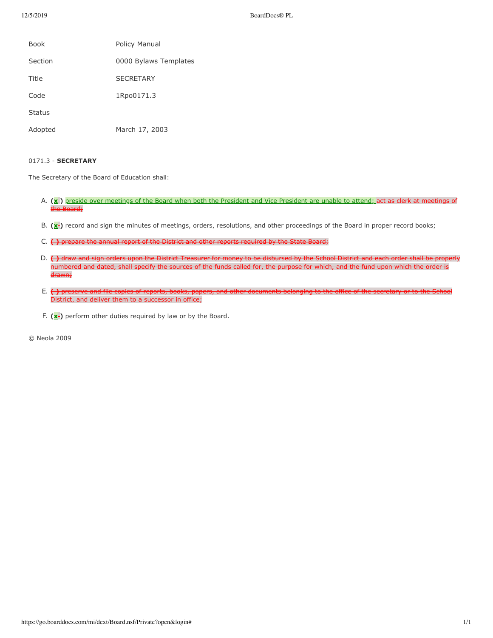| <b>Book</b>   | Policy Manual         |
|---------------|-----------------------|
| Section       | 0000 Bylaws Templates |
| Title         | <b>SECRETARY</b>      |
| Code          | 1Rpo0171.3            |
| <b>Status</b> |                       |
| Adopted       | March 17, 2003        |

## 0171.3 - **SECRETARY**

The Secretary of the Board of Education shall:

- A. (x<sup>-</sup>) preside over meetings of the Board when both the President and Vice President are unable to attend; act as clerk at meetings of the Board;
- B. (x<sup>-</sup>)</sub> record and sign the minutes of meetings, orders, resolutions, and other proceedings of the Board in proper record books;
- C. ( ) prepare the annual report of the District and other reports required by the State Board;
- D.  $\leftrightarrow$  draw and sign orders upon the District Treasurer for money to be disbursed by the School District and each order shall be p numbered and dated, shall specify the sources of the funds called for, the purpose for which, and the fund upon which the order is drawn;
- E. () preserve and file copies of reports, books, papers, and other documents belonging to the office of the secretary or to the School District, and deliver them to a successor in office;
- F.  $(\mathbf{x}$ ) perform other duties required by law or by the Board.